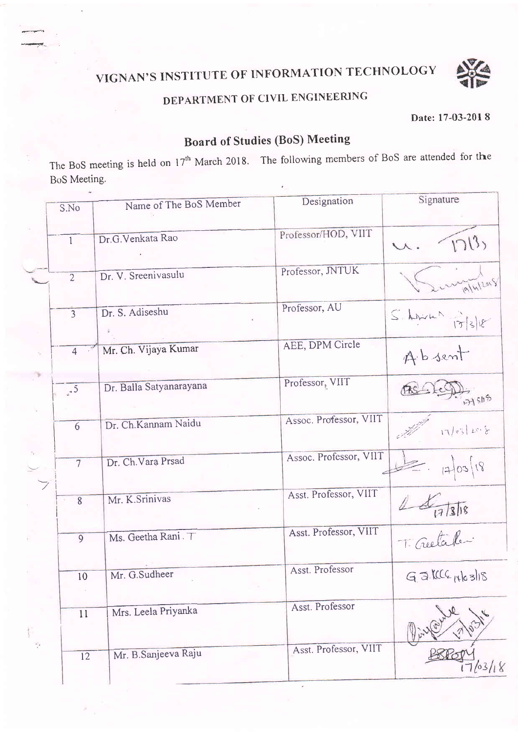# VIGNAN'S INSTITUTE OF INFORMATION TECHNOLOGY

-\*^



### DEPARTMENT OF CIVIL ENGINEERING

Date: 17-03-2018

## Board of Studies (BoS) Meeting

The BoS meeting is held on 17<sup>th</sup> March 2018. The following members of BoS are attended for the BoS Meeting.

|                |                         | Designation            | Signature                      |
|----------------|-------------------------|------------------------|--------------------------------|
| S.No           | Name of The BoS Member  |                        |                                |
| $\mathbf{1}$   | Dr.G.Venkata Rao        | Professor/HOD, VIIT    | 17(3)                          |
| $\overline{2}$ | Dr. V. Sreenivasulu     | Professor, JNTUK       | Lemplaters                     |
| $\overline{3}$ | Dr. S. Adiseshu         | Professor, AU          | $S.$ Anich $\frac{1}{13}$ 3/18 |
| $\overline{4}$ | Mr. Ch. Vijaya Kumar    | AEE, DPM Circle        | Absent                         |
| $\sqrt{5}$     | Dr. Balla Satyanarayana | Professor, VIIT        | 1775118                        |
| 6              | Dr. Ch.Kannam Naidu     | Assoc. Professor, VIIT | 17/28/20.8                     |
| 7              | Dr. Ch. Vara Prsad      | Assoc. Professor, VIIT | $-1703/18$                     |
| 8              | Mr. K.Srinivas          | Asst. Professor, VIIT  | 171318                         |
| $\overline{9}$ | Ms. Geetha Rani. T      | Asst. Professor, VIIT  | T. Geetaker                    |
| $10\,$         | Mr. G.Sudheer           | Asst. Professor        | $G.3.1064$ (1/0 3/18           |
| 11             | Mrs. Leela Priyanka     | Asst. Professor        |                                |
| 12             | Mr. B.Sanjeeva Raju     | Asst. Professor, VIIT  | $RQ = 17/03/18$                |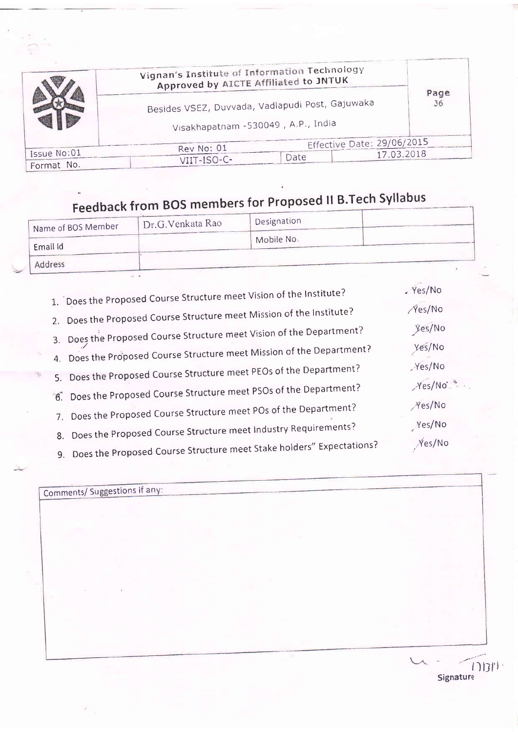|                           | Vignan's Institute of Information Technology<br>Approved by AICTE Affiliated to JNTUK  |      |                            | Page |
|---------------------------|----------------------------------------------------------------------------------------|------|----------------------------|------|
|                           | Besides VSEZ, Duvvada, Vadlapudi Post, Gajuwaka<br>Visakhapatnam - 530049, A.P., India |      |                            |      |
|                           | Rev No: 01                                                                             |      | Effective Date: 29/06/2015 |      |
| Issue No:01<br>Format No. | $VIII - ISO - C -$                                                                     | Date | 17.03.2018                 |      |

# Feedback from BOS members for Proposed II B.Tech Syllabus

| Name of BOS Member | Dr.G. Venkata Rao | Designation |  |
|--------------------|-------------------|-------------|--|
| Email Id           |                   | Mobile No.  |  |
| Address            |                   |             |  |

| 1. Does the Proposed Course Structure meet Vision of the Institute?     | $2$ Yes/No |           |
|-------------------------------------------------------------------------|------------|-----------|
| 2. Does the Proposed Course Structure meet Mission of the Institute?    | Ves/No     |           |
|                                                                         |            | yes/No    |
| 3. Does the Proposed Course Structure meet Vision of the Department?    |            | yes/No    |
| 4. Does the Proposed Course Structure meet Mission of the Department?   |            | Yes/No    |
| 5. Does the Proposed Course Structure meet PEOs of the Department?      |            | Yes/No    |
| 8. Does the Proposed Course Structure meet PSOs of the Department?      |            |           |
| 7. Does the Proposed Course Structure meet POs of the Department?       |            | Nes/No    |
| 8. Does the Proposed Course Structure meet Industry Requirements?       |            | Yes/No    |
| 9. Does the Proposed Course Structure meet Stake holders" Expectations? |            | $N$ es/No |
|                                                                         |            |           |

Comments/ Suggestions if any:

ngn Signature